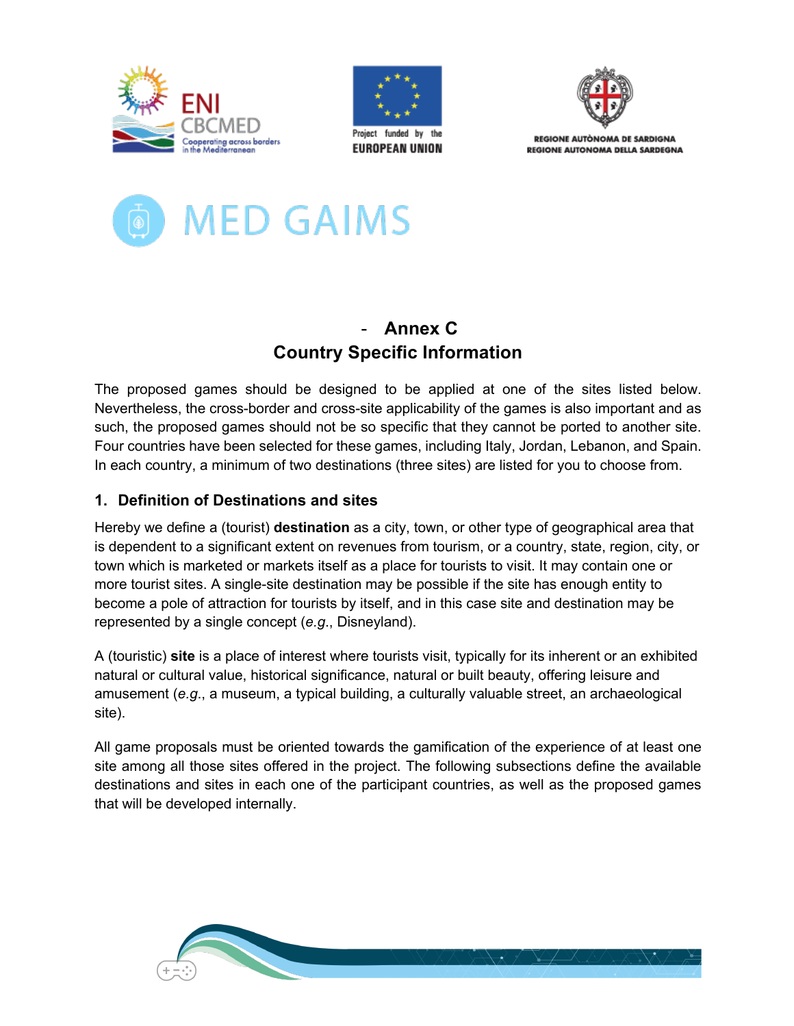





**REGIONE AUTONOMA DE SARDIGNA** REGIONE AUTONOMA DELLA SARDEGNA



# - **Annex C Country Specific Information**

The proposed games should be designed to be applied at one of the sites listed below. Nevertheless, the cross-border and cross-site applicability of the games is also important and as such, the proposed games should not be so specific that they cannot be ported to another site. Four countries have been selected for these games, including Italy, Jordan, Lebanon, and Spain. In each country, a minimum of two destinations (three sites) are listed for you to choose from.

# **1. Definition of Destinations and sites**

Hereby we define a (tourist) **destination** as a city, town, or other type of geographical area that is dependent to a significant extent on revenues from tourism, or a country, state, region, city, or town which is marketed or markets itself as a place for tourists to visit. It may contain one or more tourist sites. A single-site destination may be possible if the site has enough entity to become a pole of attraction for tourists by itself, and in this case site and destination may be represented by a single concept (*e.g*., Disneyland).

A (touristic) **site** is a place of interest where tourists visit, typically for its inherent or an exhibited natural or cultural value, historical significance, natural or built beauty, offering leisure and amusement (*e.g*., a museum, a typical building, a culturally valuable street, an archaeological site).

All game proposals must be oriented towards the gamification of the experience of at least one site among all those sites offered in the project. The following subsections define the available destinations and sites in each one of the participant countries, as well as the proposed games that will be developed internally.

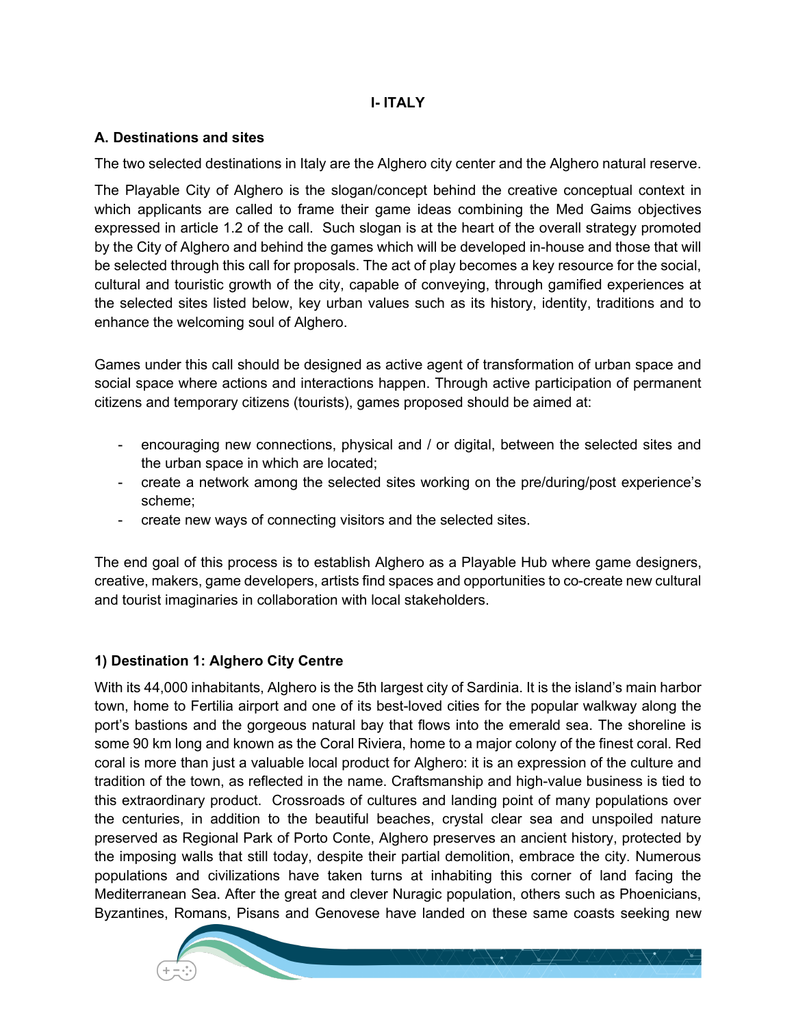### **I- ITALY**

### **A. Destinations and sites**

The two selected destinations in Italy are the Alghero city center and the Alghero natural reserve.

The Playable City of Alghero is the slogan/concept behind the creative conceptual context in which applicants are called to frame their game ideas combining the Med Gaims objectives expressed in article 1.2 of the call. Such slogan is at the heart of the overall strategy promoted by the City of Alghero and behind the games which will be developed in-house and those that will be selected through this call for proposals. The act of play becomes a key resource for the social, cultural and touristic growth of the city, capable of conveying, through gamified experiences at the selected sites listed below, key urban values such as its history, identity, traditions and to enhance the welcoming soul of Alghero.

Games under this call should be designed as active agent of transformation of urban space and social space where actions and interactions happen. Through active participation of permanent citizens and temporary citizens (tourists), games proposed should be aimed at:

- encouraging new connections, physical and / or digital, between the selected sites and the urban space in which are located;
- create a network among the selected sites working on the pre/during/post experience's scheme;
- create new ways of connecting visitors and the selected sites.

The end goal of this process is to establish Alghero as a Playable Hub where game designers, creative, makers, game developers, artists find spaces and opportunities to co-create new cultural and tourist imaginaries in collaboration with local stakeholders.

### **1) Destination 1: Alghero City Centre**

With its 44,000 inhabitants, Alghero is the 5th largest city of Sardinia. It is the island's main harbor town, home to Fertilia airport and one of its best-loved cities for the popular walkway along the port's bastions and the gorgeous natural bay that flows into the emerald sea. The shoreline is some 90 km long and known as the Coral Riviera, home to a major colony of the finest coral. Red coral is more than just a valuable local product for Alghero: it is an expression of the culture and tradition of the town, as reflected in the name. Craftsmanship and high-value business is tied to this extraordinary product. Crossroads of cultures and landing point of many populations over the centuries, in addition to the beautiful beaches, crystal clear sea and unspoiled nature preserved as Regional Park of Porto Conte, Alghero preserves an ancient history, protected by the imposing walls that still today, despite their partial demolition, embrace the city. Numerous populations and civilizations have taken turns at inhabiting this corner of land facing the Mediterranean Sea. After the great and clever Nuragic population, others such as Phoenicians, Byzantines, Romans, Pisans and Genovese have landed on these same coasts seeking new

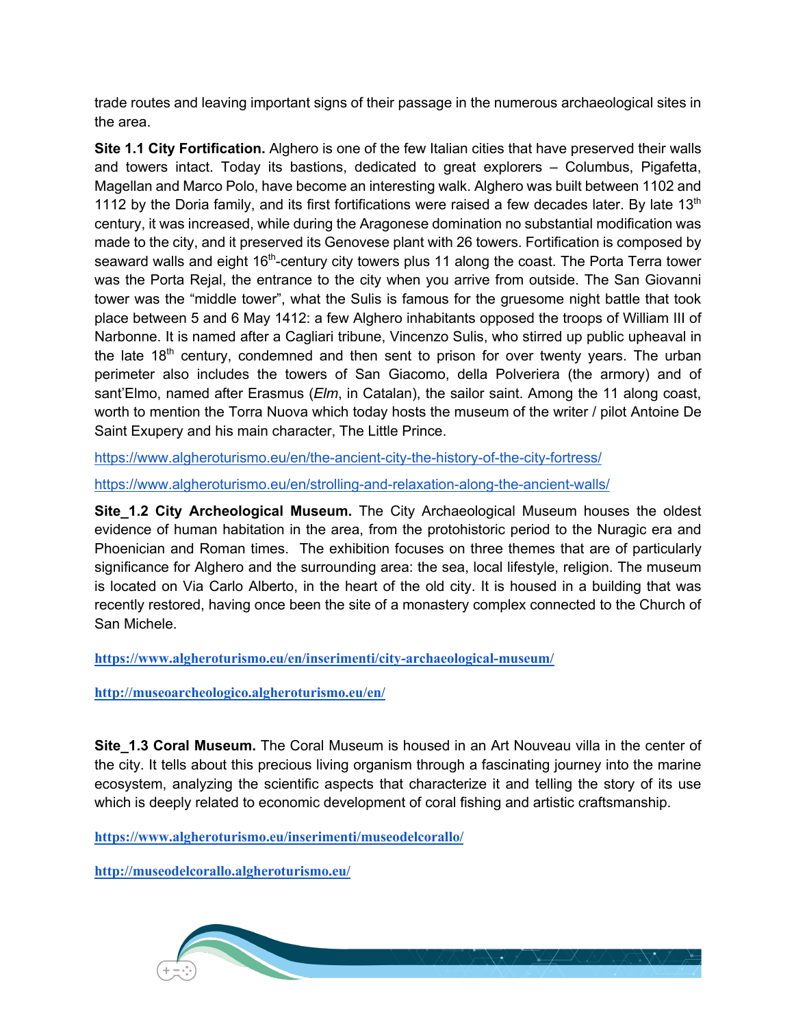trade routes and leaving important signs of their passage in the numerous archaeological sites in the area.

**Site 1.1 City Fortification.** Alghero is one of the few Italian cities that have preserved their walls and towers intact. Today its bastions, dedicated to great explorers – Columbus, Pigafetta, Magellan and Marco Polo, have become an interesting walk. Alghero was built between 1102 and 1112 by the Doria family, and its first fortifications were raised a few decades later. By late 13<sup>th</sup> century, it was increased, while during the Aragonese domination no substantial modification was made to the city, and it preserved its Genovese plant with 26 towers. Fortification is composed by seaward walls and eight 16<sup>th</sup>-century city towers plus 11 along the coast. The Porta Terra tower was the Porta Rejal, the entrance to the city when you arrive from outside. The San Giovanni tower was the "middle tower", what the Sulis is famous for the gruesome night battle that took place between 5 and 6 May 1412: a few Alghero inhabitants opposed the troops of William III of Narbonne. It is named after a Cagliari tribune, Vincenzo Sulis, who stirred up public upheaval in the late  $18<sup>th</sup>$  century, condemned and then sent to prison for over twenty years. The urban perimeter also includes the towers of San Giacomo, della Polveriera (the armory) and of sant'Elmo, named after Erasmus (*Elm*, in Catalan), the sailor saint. Among the 11 along coast, worth to mention the Torra Nuova which today hosts the museum of the writer / pilot Antoine De Saint Exupery and his main character, The Little Prince.

https://www.algheroturismo.eu/en/the-ancient-city-the-history-of-the-city-fortress/

https://www.algheroturismo.eu/en/strolling-and-relaxation-along-the-ancient-walls/

**Site 1.2 City Archeological Museum.** The City Archaeological Museum houses the oldest evidence of human habitation in the area, from the protohistoric period to the Nuragic era and Phoenician and Roman times. The exhibition focuses on three themes that are of particularly significance for Alghero and the surrounding area: the sea, local lifestyle, religion. The museum is located on Via Carlo Alberto, in the heart of the old city. It is housed in a building that was recently restored, having once been the site of a monastery complex connected to the Church of San Michele.

**https://www.algheroturismo.eu/en/inserimenti/city-archaeological-museum/**

**http://museoarcheologico.algheroturismo.eu/en/**

**Site 1.3 Coral Museum.** The Coral Museum is housed in an Art Nouveau villa in the center of the city. It tells about this precious living organism through a fascinating journey into the marine ecosystem, analyzing the scientific aspects that characterize it and telling the story of its use which is deeply related to economic development of coral fishing and artistic craftsmanship.

**https://www.algheroturismo.eu/inserimenti/museodelcorallo/**

**http://museodelcorallo.algheroturismo.eu/**

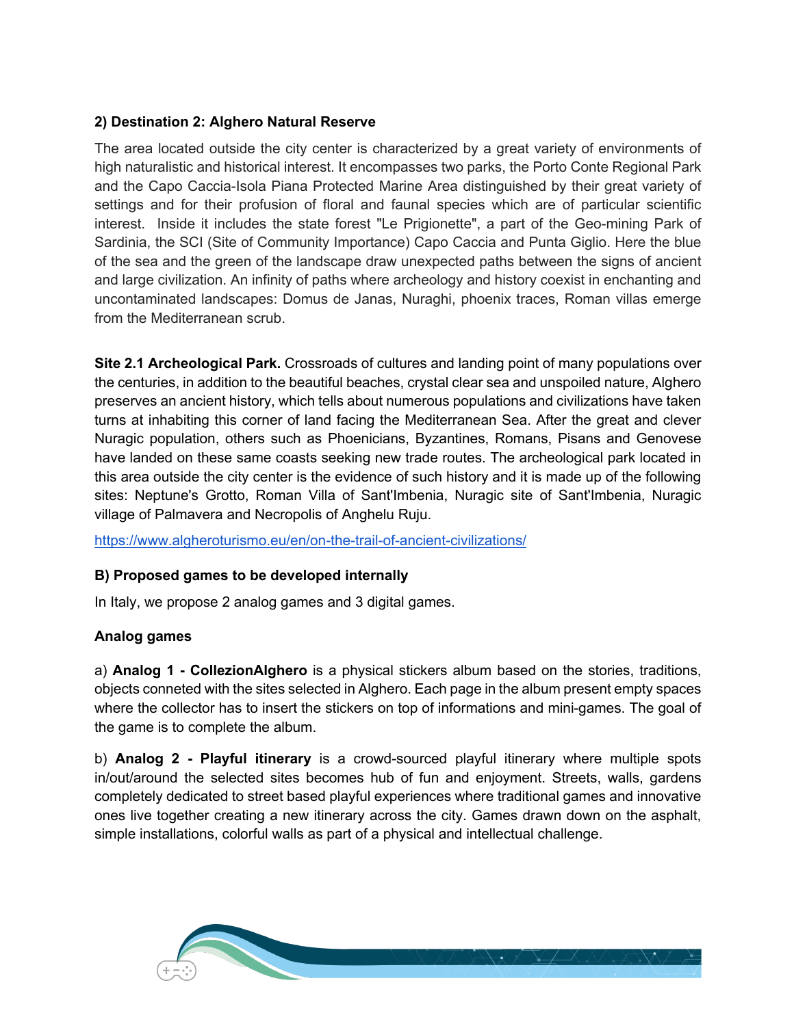### **2) Destination 2: Alghero Natural Reserve**

The area located outside the city center is characterized by a great variety of environments of high naturalistic and historical interest. It encompasses two parks, the Porto Conte Regional Park and the Capo Caccia-Isola Piana Protected Marine Area distinguished by their great variety of settings and for their profusion of floral and faunal species which are of particular scientific interest. Inside it includes the state forest "Le Prigionette", a part of the Geo-mining Park of Sardinia, the SCI (Site of Community Importance) Capo Caccia and Punta Giglio. Here the blue of the sea and the green of the landscape draw unexpected paths between the signs of ancient and large civilization. An infinity of paths where archeology and history coexist in enchanting and uncontaminated landscapes: Domus de Janas, Nuraghi, phoenix traces, Roman villas emerge from the Mediterranean scrub.

**Site 2.1 Archeological Park.** Crossroads of cultures and landing point of many populations over the centuries, in addition to the beautiful beaches, crystal clear sea and unspoiled nature, Alghero preserves an ancient history, which tells about numerous populations and civilizations have taken turns at inhabiting this corner of land facing the Mediterranean Sea. After the great and clever Nuragic population, others such as Phoenicians, Byzantines, Romans, Pisans and Genovese have landed on these same coasts seeking new trade routes. The archeological park located in this area outside the city center is the evidence of such history and it is made up of the following sites: Neptune's Grotto, Roman Villa of Sant'Imbenia, Nuragic site of Sant'Imbenia, Nuragic village of Palmavera and Necropolis of Anghelu Ruju.

https://www.algheroturismo.eu/en/on-the-trail-of-ancient-civilizations/

### **B) Proposed games to be developed internally**

In Italy, we propose 2 analog games and 3 digital games.

### **Analog games**

a) **Analog 1 - CollezionAlghero** is a physical stickers album based on the stories, traditions, objects conneted with the sites selected in Alghero. Each page in the album present empty spaces where the collector has to insert the stickers on top of informations and mini-games. The goal of the game is to complete the album.

b) **Analog 2 - Playful itinerary** is a crowd-sourced playful itinerary where multiple spots in/out/around the selected sites becomes hub of fun and enjoyment. Streets, walls, gardens completely dedicated to street based playful experiences where traditional games and innovative ones live together creating a new itinerary across the city. Games drawn down on the asphalt, simple installations, colorful walls as part of a physical and intellectual challenge.

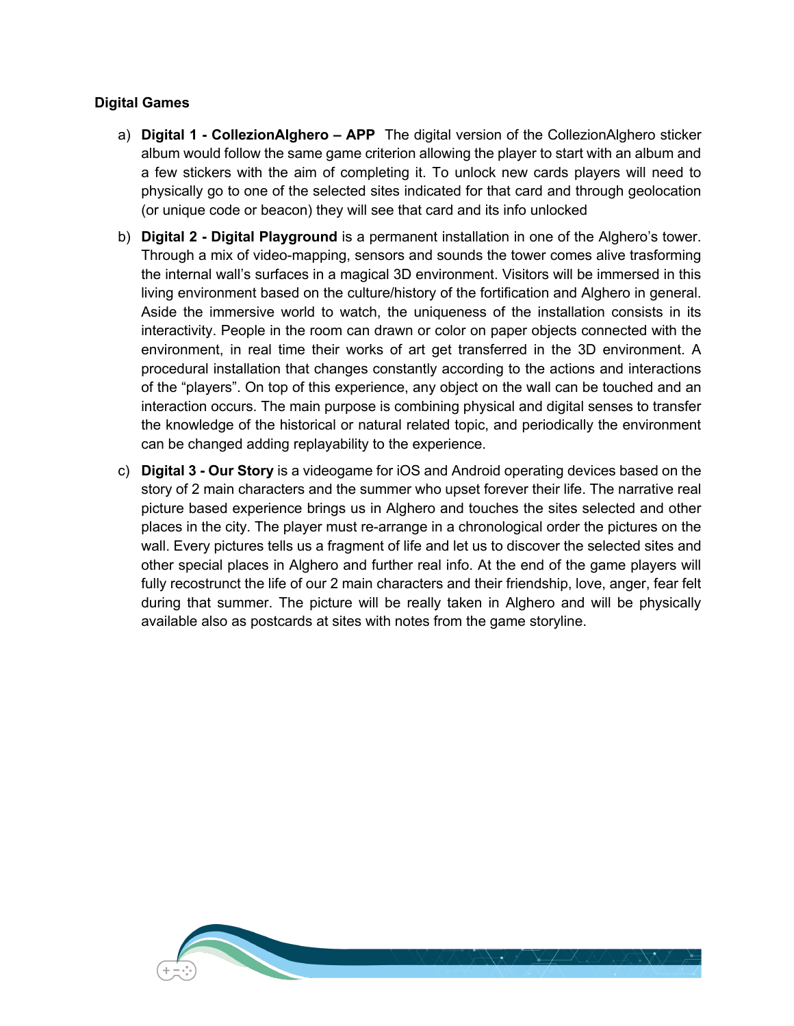#### **Digital Games**

- a) **Digital 1 - CollezionAlghero – APP** The digital version of the CollezionAlghero sticker album would follow the same game criterion allowing the player to start with an album and a few stickers with the aim of completing it. To unlock new cards players will need to physically go to one of the selected sites indicated for that card and through geolocation (or unique code or beacon) they will see that card and its info unlocked
- b) **Digital 2 - Digital Playground** is a permanent installation in one of the Alghero's tower. Through a mix of video-mapping, sensors and sounds the tower comes alive trasforming the internal wall's surfaces in a magical 3D environment. Visitors will be immersed in this living environment based on the culture/history of the fortification and Alghero in general. Aside the immersive world to watch, the uniqueness of the installation consists in its interactivity. People in the room can drawn or color on paper objects connected with the environment, in real time their works of art get transferred in the 3D environment. A procedural installation that changes constantly according to the actions and interactions of the "players". On top of this experience, any object on the wall can be touched and an interaction occurs. The main purpose is combining physical and digital senses to transfer the knowledge of the historical or natural related topic, and periodically the environment can be changed adding replayability to the experience.
- c) **Digital 3 - Our Story** is a videogame for iOS and Android operating devices based on the story of 2 main characters and the summer who upset forever their life. The narrative real picture based experience brings us in Alghero and touches the sites selected and other places in the city. The player must re-arrange in a chronological order the pictures on the wall. Every pictures tells us a fragment of life and let us to discover the selected sites and other special places in Alghero and further real info. At the end of the game players will fully recostrunct the life of our 2 main characters and their friendship, love, anger, fear felt during that summer. The picture will be really taken in Alghero and will be physically available also as postcards at sites with notes from the game storyline.

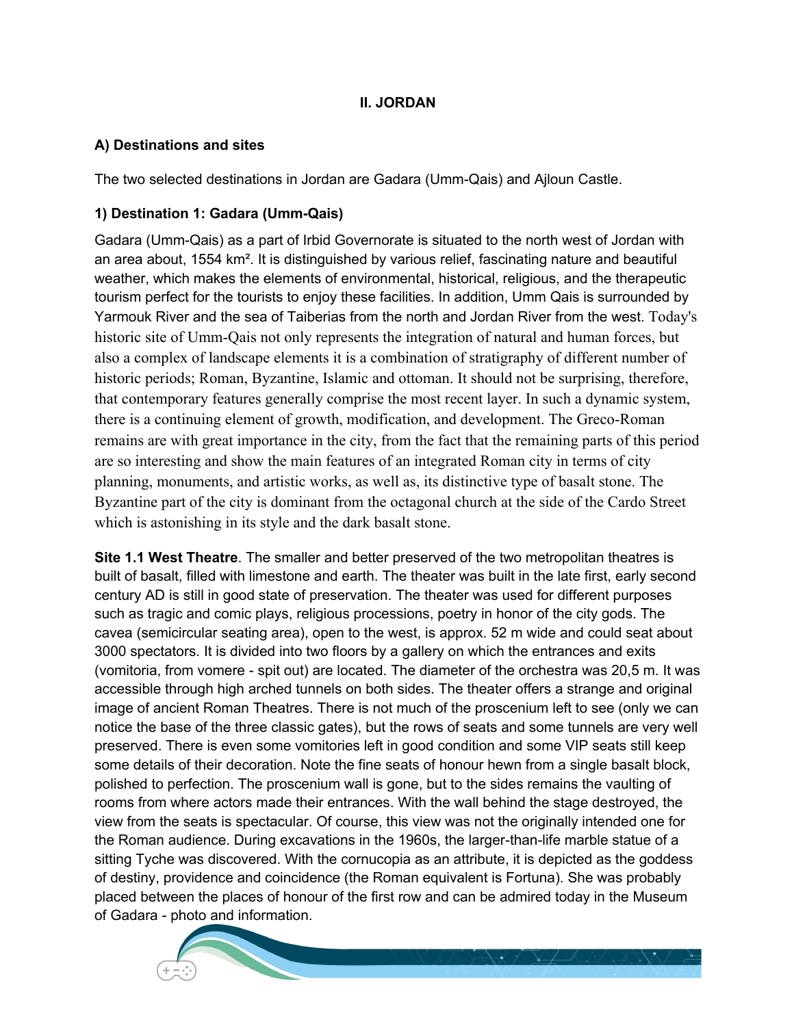### **II. JORDAN**

#### **A) Destinations and sites**

The two selected destinations in Jordan are Gadara (Umm-Qais) and Ajloun Castle.

### **1) Destination 1: Gadara (Umm-Qais)**

Gadara (Umm-Qais) as a part of Irbid Governorate is situated to the north west of Jordan with an area about, 1554 km². It is distinguished by various relief, fascinating nature and beautiful weather, which makes the elements of environmental, historical, religious, and the therapeutic tourism perfect for the tourists to enjoy these facilities. In addition, Umm Qais is surrounded by Yarmouk River and the sea of Taiberias from the north and Jordan River from the west. Today's historic site of Umm-Qais not only represents the integration of natural and human forces, but also a complex of landscape elements it is a combination of stratigraphy of different number of historic periods; Roman, Byzantine, Islamic and ottoman. It should not be surprising, therefore, that contemporary features generally comprise the most recent layer. In such a dynamic system, there is a continuing element of growth, modification, and development. The Greco-Roman remains are with great importance in the city, from the fact that the remaining parts of this period are so interesting and show the main features of an integrated Roman city in terms of city planning, monuments, and artistic works, as well as, its distinctive type of basalt stone. The Byzantine part of the city is dominant from the octagonal church at the side of the Cardo Street which is astonishing in its style and the dark basalt stone.

**Site 1.1 West Theatre**. The smaller and better preserved of the two metropolitan theatres is built of basalt, filled with limestone and earth. The theater was built in the late first, early second century AD is still in good state of preservation. The theater was used for different purposes such as tragic and comic plays, religious processions, poetry in honor of the city gods. The cavea (semicircular seating area), open to the west, is approx. 52 m wide and could seat about 3000 spectators. It is divided into two floors by a gallery on which the entrances and exits (vomitoria, from vomere - spit out) are located. The diameter of the orchestra was 20,5 m. It was accessible through high arched tunnels on both sides. The theater offers a strange and original image of ancient Roman Theatres. There is not much of the proscenium left to see (only we can notice the base of the three classic gates), but the rows of seats and some tunnels are very well preserved. There is even some vomitories left in good condition and some VIP seats still keep some details of their decoration. Note the fine seats of honour hewn from a single basalt block, polished to perfection. The proscenium wall is gone, but to the sides remains the vaulting of rooms from where actors made their entrances. With the wall behind the stage destroyed, the view from the seats is spectacular. Of course, this view was not the originally intended one for the Roman audience. During excavations in the 1960s, the larger-than-life marble statue of a sitting Tyche was discovered. With the cornucopia as an attribute, it is depicted as the goddess of destiny, providence and coincidence (the Roman equivalent is Fortuna). She was probably placed between the places of honour of the first row and can be admired today in the Museum of Gadara - photo and information.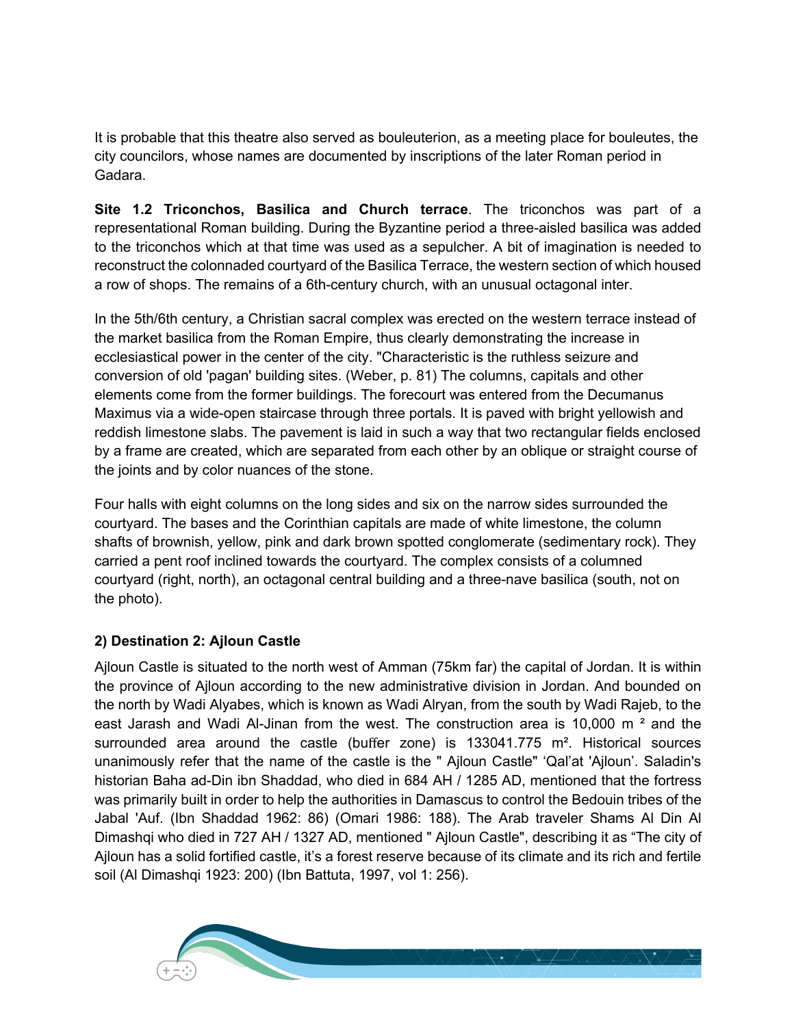It is probable that this theatre also served as bouleuterion, as a meeting place for bouleutes, the city councilors, whose names are documented by inscriptions of the later Roman period in Gadara.

**Site 1.2 Triconchos, Basilica and Church terrace**. The triconchos was part of a representational Roman building. During the Byzantine period a three-aisled basilica was added to the triconchos which at that time was used as a sepulcher. A bit of imagination is needed to reconstruct the colonnaded courtyard of the Basilica Terrace, the western section of which housed a row of shops. The remains of a 6th-century church, with an unusual octagonal inter.

In the 5th/6th century, a Christian sacral complex was erected on the western terrace instead of the market basilica from the Roman Empire, thus clearly demonstrating the increase in ecclesiastical power in the center of the city. "Characteristic is the ruthless seizure and conversion of old 'pagan' building sites. (Weber, p. 81) The columns, capitals and other elements come from the former buildings. The forecourt was entered from the Decumanus Maximus via a wide-open staircase through three portals. It is paved with bright yellowish and reddish limestone slabs. The pavement is laid in such a way that two rectangular fields enclosed by a frame are created, which are separated from each other by an oblique or straight course of the joints and by color nuances of the stone.

Four halls with eight columns on the long sides and six on the narrow sides surrounded the courtyard. The bases and the Corinthian capitals are made of white limestone, the column shafts of brownish, yellow, pink and dark brown spotted conglomerate (sedimentary rock). They carried a pent roof inclined towards the courtyard. The complex consists of a columned courtyard (right, north), an octagonal central building and a three-nave basilica (south, not on the photo).

# **2) Destination 2: Ajloun Castle**

Ajloun Castle is situated to the north west of Amman (75km far) the capital of Jordan. It is within the province of Ajloun according to the new administrative division in Jordan. And bounded on the north by Wadi Alyabes, which is known as Wadi Alryan, from the south by Wadi Rajeb, to the east Jarash and Wadi Al-Jinan from the west. The construction area is 10,000 m ² and the surrounded area around the castle (buffer zone) is  $133041.775$  m<sup>2</sup>. Historical sources unanimously refer that the name of the castle is the " Ajloun Castle" 'Qal'at 'Ajloun'. Saladin's historian Baha ad-Din ibn Shaddad, who died in 684 AH / 1285 AD, mentioned that the fortress was primarily built in order to help the authorities in Damascus to control the Bedouin tribes of the Jabal 'Auf. (Ibn Shaddad 1962: 86) (Omari 1986: 188). The Arab traveler Shams Al Din Al Dimashqi who died in 727 AH / 1327 AD, mentioned " Ajloun Castle", describing it as "The city of Ajloun has a solid fortified castle, it's a forest reserve because of its climate and its rich and fertile soil (Al Dimashqi 1923: 200) (Ibn Battuta, 1997, vol 1: 256).

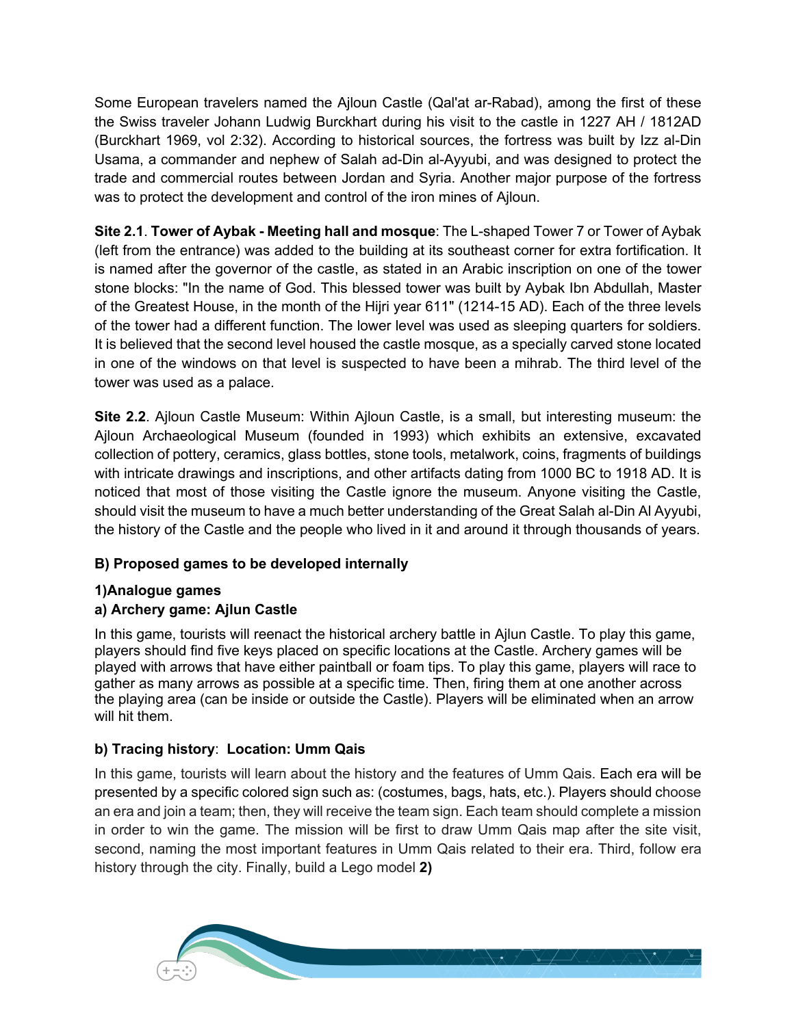Some European travelers named the Ajloun Castle (Qal'at ar-Rabad), among the first of these the Swiss traveler Johann Ludwig Burckhart during his visit to the castle in 1227 AH / 1812AD (Burckhart 1969, vol 2:32). According to historical sources, the fortress was built by Izz al-Din Usama, a commander and nephew of Salah ad-Din al-Ayyubi, and was designed to protect the trade and commercial routes between Jordan and Syria. Another major purpose of the fortress was to protect the development and control of the iron mines of Ajloun.

**Site 2.1**. **Tower of Aybak - Meeting hall and mosque**: The L-shaped Tower 7 or Tower of Aybak (left from the entrance) was added to the building at its southeast corner for extra fortification. It is named after the governor of the castle, as stated in an Arabic inscription on one of the tower stone blocks: "In the name of God. This blessed tower was built by Aybak Ibn Abdullah, Master of the Greatest House, in the month of the Hijri year 611" (1214-15 AD). Each of the three levels of the tower had a different function. The lower level was used as sleeping quarters for soldiers. It is believed that the second level housed the castle mosque, as a specially carved stone located in one of the windows on that level is suspected to have been a mihrab. The third level of the tower was used as a palace.

**Site 2.2**. Ajloun Castle Museum: Within Ajloun Castle, is a small, but interesting museum: the Ajloun Archaeological Museum (founded in 1993) which exhibits an extensive, excavated collection of pottery, ceramics, glass bottles, stone tools, metalwork, coins, fragments of buildings with intricate drawings and inscriptions, and other artifacts dating from 1000 BC to 1918 AD. It is noticed that most of those visiting the Castle ignore the museum. Anyone visiting the Castle, should visit the museum to have a much better understanding of the Great Salah al-Din Al Ayyubi, the history of the Castle and the people who lived in it and around it through thousands of years.

### **B) Proposed games to be developed internally**

### **1)Analogue games**

### **a) Archery game: Ajlun Castle**

In this game, tourists will reenact the historical archery battle in Ajlun Castle. To play this game, players should find five keys placed on specific locations at the Castle. Archery games will be played with arrows that have either paintball or foam tips. To play this game, players will race to gather as many arrows as possible at a specific time. Then, firing them at one another across the playing area (can be inside or outside the Castle). Players will be eliminated when an arrow will hit them.

### **b) Tracing history**: **Location: Umm Qais**

In this game, tourists will learn about the history and the features of Umm Qais. Each era will be presented by a specific colored sign such as: (costumes, bags, hats, etc.). Players should choose an era and join a team; then, they will receive the team sign. Each team should complete a mission in order to win the game. The mission will be first to draw Umm Qais map after the site visit, second, naming the most important features in Umm Qais related to their era. Third, follow era history through the city. Finally, build a Lego model **2)** 

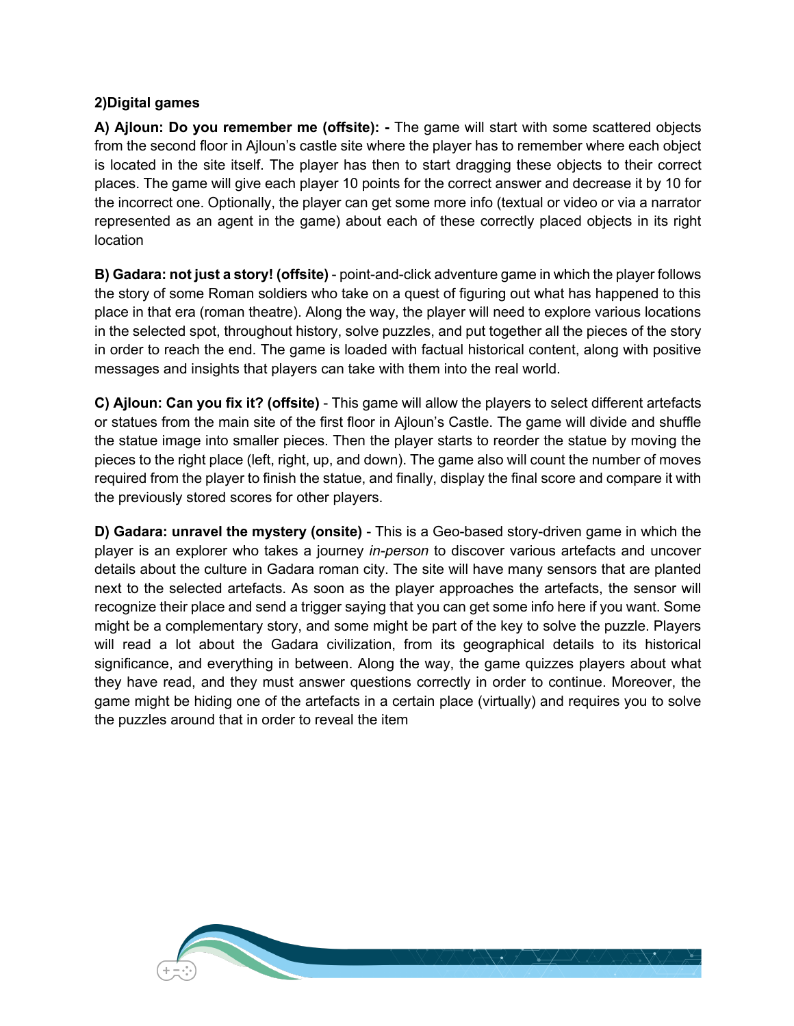#### **2)Digital games**

**A) Ajloun: Do you remember me (offsite): -** The game will start with some scattered objects from the second floor in Ajloun's castle site where the player has to remember where each object is located in the site itself. The player has then to start dragging these objects to their correct places. The game will give each player 10 points for the correct answer and decrease it by 10 for the incorrect one. Optionally, the player can get some more info (textual or video or via a narrator represented as an agent in the game) about each of these correctly placed objects in its right location

**B) Gadara: not just a story! (offsite)** - point-and-click adventure game in which the player follows the story of some Roman soldiers who take on a quest of figuring out what has happened to this place in that era (roman theatre). Along the way, the player will need to explore various locations in the selected spot, throughout history, solve puzzles, and put together all the pieces of the story in order to reach the end. The game is loaded with factual historical content, along with positive messages and insights that players can take with them into the real world.

**C) Ajloun: Can you fix it? (offsite)** - This game will allow the players to select different artefacts or statues from the main site of the first floor in Ajloun's Castle. The game will divide and shuffle the statue image into smaller pieces. Then the player starts to reorder the statue by moving the pieces to the right place (left, right, up, and down). The game also will count the number of moves required from the player to finish the statue, and finally, display the final score and compare it with the previously stored scores for other players.

**D) Gadara: unravel the mystery (onsite)** - This is a Geo-based story-driven game in which the player is an explorer who takes a journey *in-person* to discover various artefacts and uncover details about the culture in Gadara roman city. The site will have many sensors that are planted next to the selected artefacts. As soon as the player approaches the artefacts, the sensor will recognize their place and send a trigger saying that you can get some info here if you want. Some might be a complementary story, and some might be part of the key to solve the puzzle. Players will read a lot about the Gadara civilization, from its geographical details to its historical significance, and everything in between. Along the way, the game quizzes players about what they have read, and they must answer questions correctly in order to continue. Moreover, the game might be hiding one of the artefacts in a certain place (virtually) and requires you to solve the puzzles around that in order to reveal the item

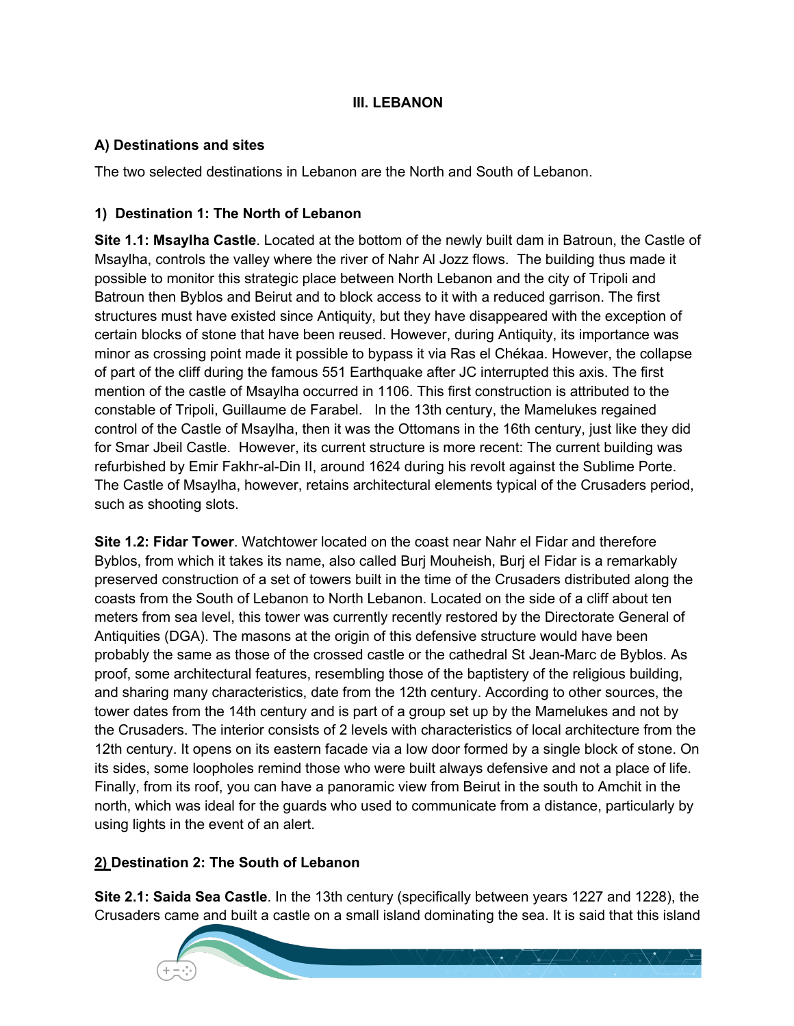#### **III. LEBANON**

### **A) Destinations and sites**

The two selected destinations in Lebanon are the North and South of Lebanon.

### **1) Destination 1: The North of Lebanon**

**Site 1.1: Msaylha Castle**. Located at the bottom of the newly built dam in Batroun, the Castle of Msaylha, controls the valley where the river of Nahr Al Jozz flows. The building thus made it possible to monitor this strategic place between North Lebanon and the city of Tripoli and Batroun then Byblos and Beirut and to block access to it with a reduced garrison. The first structures must have existed since Antiquity, but they have disappeared with the exception of certain blocks of stone that have been reused. However, during Antiquity, its importance was minor as crossing point made it possible to bypass it via Ras el Chékaa. However, the collapse of part of the cliff during the famous 551 Earthquake after JC interrupted this axis. The first mention of the castle of Msaylha occurred in 1106. This first construction is attributed to the constable of Tripoli, Guillaume de Farabel. In the 13th century, the Mamelukes regained control of the Castle of Msaylha, then it was the Ottomans in the 16th century, just like they did for Smar Jbeil Castle. However, its current structure is more recent: The current building was refurbished by Emir Fakhr-al-Din II, around 1624 during his revolt against the Sublime Porte. The Castle of Msaylha, however, retains architectural elements typical of the Crusaders period, such as shooting slots.

**Site 1.2: Fidar Tower**. Watchtower located on the coast near Nahr el Fidar and therefore Byblos, from which it takes its name, also called Burj Mouheish, Burj el Fidar is a remarkably preserved construction of a set of towers built in the time of the Crusaders distributed along the coasts from the South of Lebanon to North Lebanon. Located on the side of a cliff about ten meters from sea level, this tower was currently recently restored by the Directorate General of Antiquities (DGA). The masons at the origin of this defensive structure would have been probably the same as those of the crossed castle or the cathedral St Jean-Marc de Byblos. As proof, some architectural features, resembling those of the baptistery of the religious building, and sharing many characteristics, date from the 12th century. According to other sources, the tower dates from the 14th century and is part of a group set up by the Mamelukes and not by the Crusaders. The interior consists of 2 levels with characteristics of local architecture from the 12th century. It opens on its eastern facade via a low door formed by a single block of stone. On its sides, some loopholes remind those who were built always defensive and not a place of life. Finally, from its roof, you can have a panoramic view from Beirut in the south to Amchit in the north, which was ideal for the guards who used to communicate from a distance, particularly by using lights in the event of an alert.

### **2) Destination 2: The South of Lebanon**

**Site 2.1: Saida Sea Castle**. In the 13th century (specifically between years 1227 and 1228), the Crusaders came and built a castle on a small island dominating the sea. It is said that this island

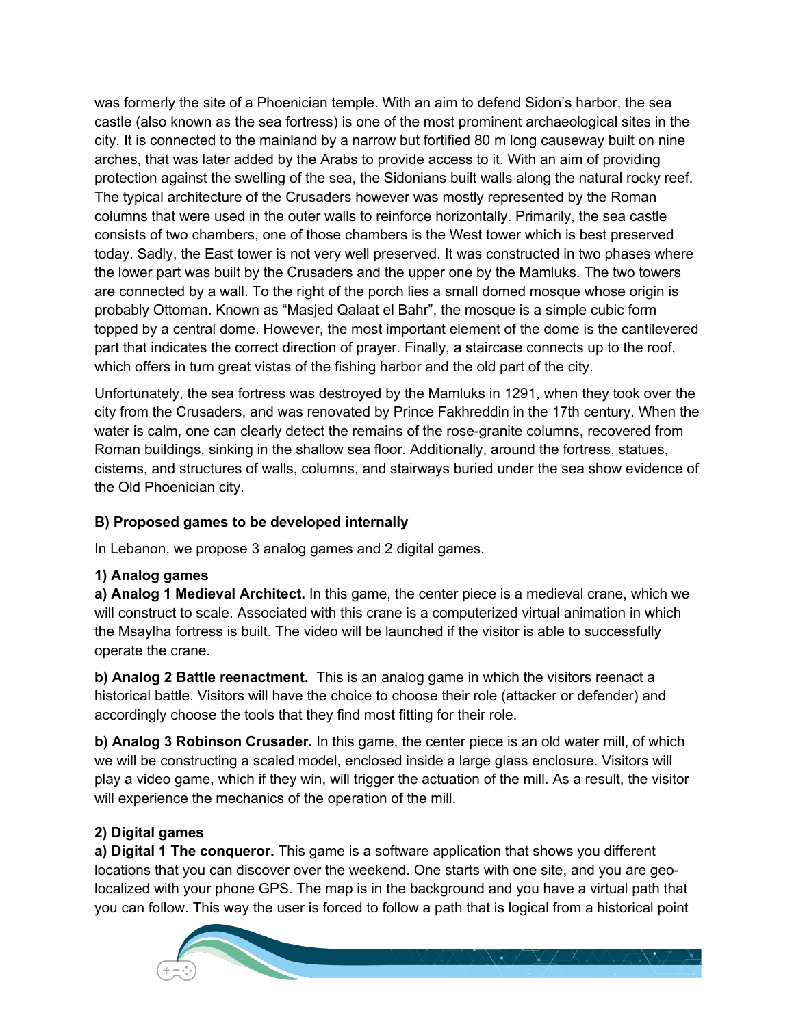was formerly the site of a Phoenician temple. With an aim to defend Sidon's harbor, the sea castle (also known as the sea fortress) is one of the most prominent archaeological sites in the city. It is connected to the mainland by a narrow but fortified 80 m long causeway built on nine arches, that was later added by the Arabs to provide access to it. With an aim of providing protection against the swelling of the sea, the Sidonians built walls along the natural rocky reef. The typical architecture of the Crusaders however was mostly represented by the Roman columns that were used in the outer walls to reinforce horizontally. Primarily, the sea castle consists of two chambers, one of those chambers is the West tower which is best preserved today. Sadly, the East tower is not very well preserved. It was constructed in two phases where the lower part was built by the Crusaders and the upper one by the Mamluks. The two towers are connected by a wall. To the right of the porch lies a small domed mosque whose origin is probably Ottoman. Known as "Masjed Qalaat el Bahr", the mosque is a simple cubic form topped by a central dome. However, the most important element of the dome is the cantilevered part that indicates the correct direction of prayer. Finally, a staircase connects up to the roof, which offers in turn great vistas of the fishing harbor and the old part of the city.

Unfortunately, the sea fortress was destroyed by the Mamluks in 1291, when they took over the city from the Crusaders, and was renovated by Prince Fakhreddin in the 17th century. When the water is calm, one can clearly detect the remains of the rose-granite columns, recovered from Roman buildings, sinking in the shallow sea floor. Additionally, around the fortress, statues, cisterns, and structures of walls, columns, and stairways buried under the sea show evidence of the Old Phoenician city.

## **B) Proposed games to be developed internally**

In Lebanon, we propose 3 analog games and 2 digital games.

### **1) Analog games**

**a) Analog 1 Medieval Architect.** In this game, the center piece is a medieval crane, which we will construct to scale. Associated with this crane is a computerized virtual animation in which the Msaylha fortress is built. The video will be launched if the visitor is able to successfully operate the crane.

**b) Analog 2 Battle reenactment.** This is an analog game in which the visitors reenact a historical battle. Visitors will have the choice to choose their role (attacker or defender) and accordingly choose the tools that they find most fitting for their role.

**b) Analog 3 Robinson Crusader.** In this game, the center piece is an old water mill, of which we will be constructing a scaled model, enclosed inside a large glass enclosure. Visitors will play a video game, which if they win, will trigger the actuation of the mill. As a result, the visitor will experience the mechanics of the operation of the mill.

# **2) Digital games**

**a) Digital 1 The conqueror.** This game is a software application that shows you different locations that you can discover over the weekend. One starts with one site, and you are geolocalized with your phone GPS. The map is in the background and you have a virtual path that you can follow. This way the user is forced to follow a path that is logical from a historical point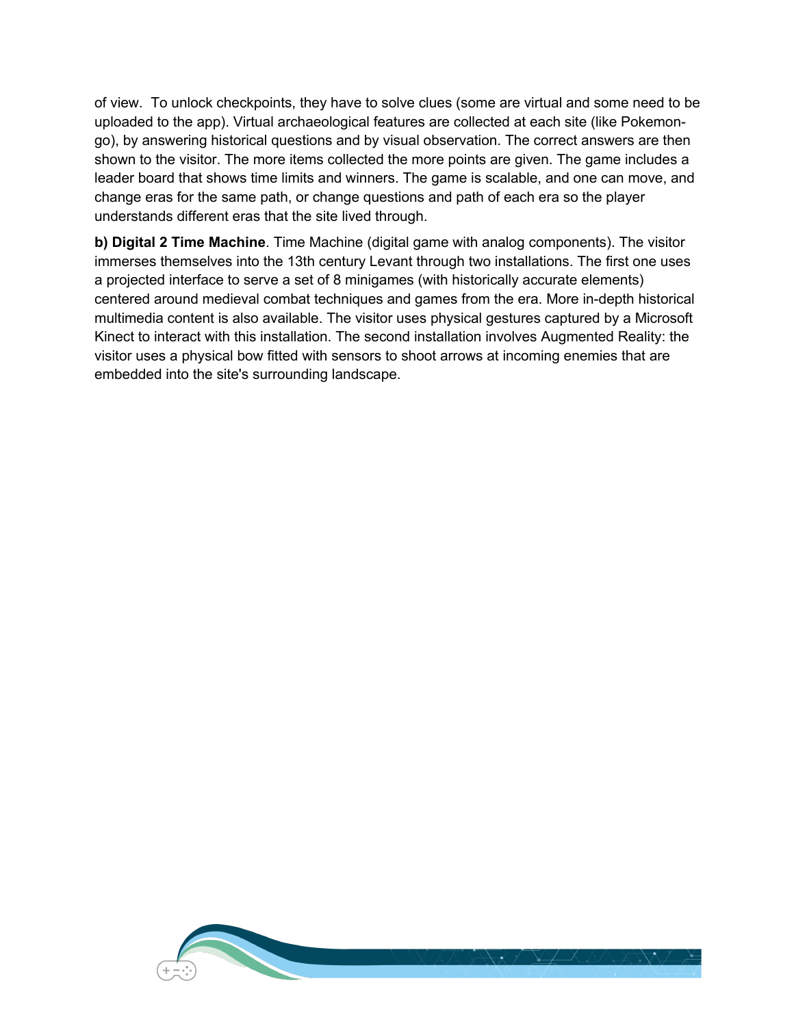of view. To unlock checkpoints, they have to solve clues (some are virtual and some need to be uploaded to the app). Virtual archaeological features are collected at each site (like Pokemongo), by answering historical questions and by visual observation. The correct answers are then shown to the visitor. The more items collected the more points are given. The game includes a leader board that shows time limits and winners. The game is scalable, and one can move, and change eras for the same path, or change questions and path of each era so the player understands different eras that the site lived through.

**b) Digital 2 Time Machine**. Time Machine (digital game with analog components). The visitor immerses themselves into the 13th century Levant through two installations. The first one uses a projected interface to serve a set of 8 minigames (with historically accurate elements) centered around medieval combat techniques and games from the era. More in-depth historical multimedia content is also available. The visitor uses physical gestures captured by a Microsoft Kinect to interact with this installation. The second installation involves Augmented Reality: the visitor uses a physical bow fitted with sensors to shoot arrows at incoming enemies that are embedded into the site's surrounding landscape.

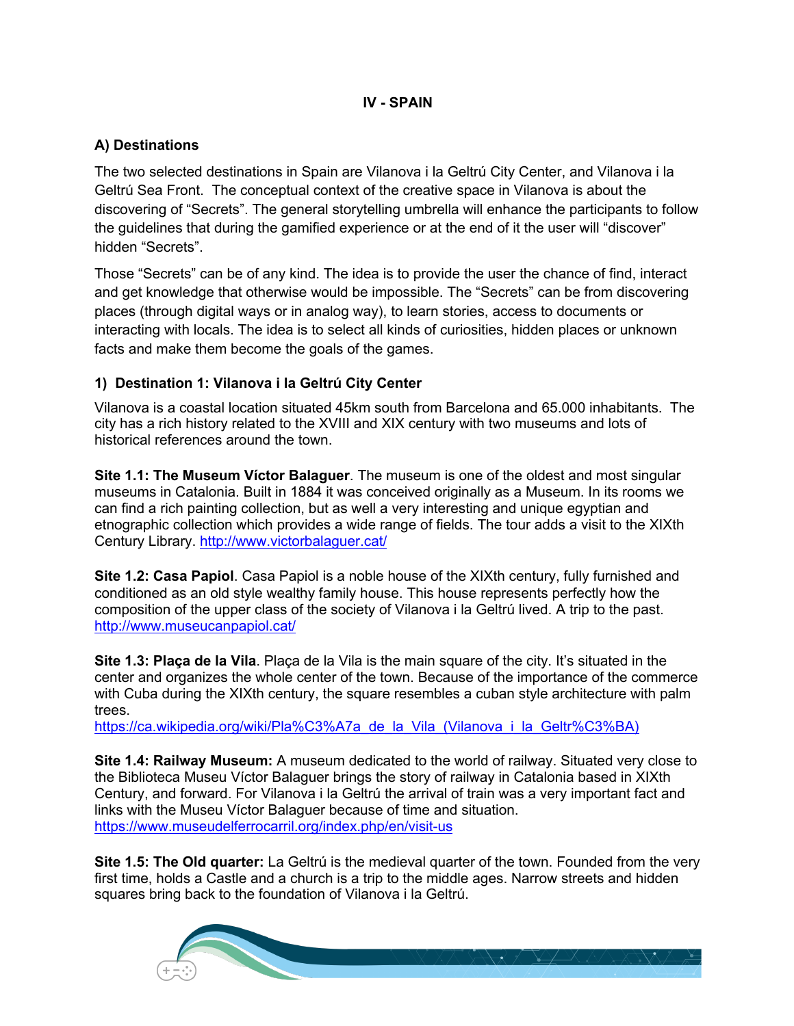#### **IV - SPAIN**

### **A) Destinations**

The two selected destinations in Spain are Vilanova i la Geltrú City Center, and Vilanova i la Geltrú Sea Front. The conceptual context of the creative space in Vilanova is about the discovering of "Secrets". The general storytelling umbrella will enhance the participants to follow the guidelines that during the gamified experience or at the end of it the user will "discover" hidden "Secrets".

Those "Secrets" can be of any kind. The idea is to provide the user the chance of find, interact and get knowledge that otherwise would be impossible. The "Secrets" can be from discovering places (through digital ways or in analog way), to learn stories, access to documents or interacting with locals. The idea is to select all kinds of curiosities, hidden places or unknown facts and make them become the goals of the games.

### **1) Destination 1: Vilanova i la Geltrú City Center**

Vilanova is a coastal location situated 45km south from Barcelona and 65.000 inhabitants. The city has a rich history related to the XVIII and XIX century with two museums and lots of historical references around the town.

**Site 1.1: The Museum Víctor Balaguer**. The museum is one of the oldest and most singular museums in Catalonia. Built in 1884 it was conceived originally as a Museum. In its rooms we can find a rich painting collection, but as well a very interesting and unique egyptian and etnographic collection which provides a wide range of fields. The tour adds a visit to the XIXth Century Library. http://www.victorbalaguer.cat/

**Site 1.2: Casa Papiol**. Casa Papiol is a noble house of the XIXth century, fully furnished and conditioned as an old style wealthy family house. This house represents perfectly how the composition of the upper class of the society of Vilanova i la Geltrú lived. A trip to the past. http://www.museucanpapiol.cat/

**Site 1.3: Plaça de la Vila**. Plaça de la Vila is the main square of the city. It's situated in the center and organizes the whole center of the town. Because of the importance of the commerce with Cuba during the XIXth century, the square resembles a cuban style architecture with palm trees.

https://ca.wikipedia.org/wiki/Pla%C3%A7a\_de\_la\_Vila\_(Vilanova\_i\_la\_Geltr%C3%BA)

**Site 1.4: Railway Museum:** A museum dedicated to the world of railway. Situated very close to the Biblioteca Museu Víctor Balaguer brings the story of railway in Catalonia based in XIXth Century, and forward. For Vilanova i la Geltrú the arrival of train was a very important fact and links with the Museu Víctor Balaguer because of time and situation. https://www.museudelferrocarril.org/index.php/en/visit-us

**Site 1.5: The Old quarter:** La Geltrú is the medieval quarter of the town. Founded from the very first time, holds a Castle and a church is a trip to the middle ages. Narrow streets and hidden squares bring back to the foundation of Vilanova i la Geltrú.

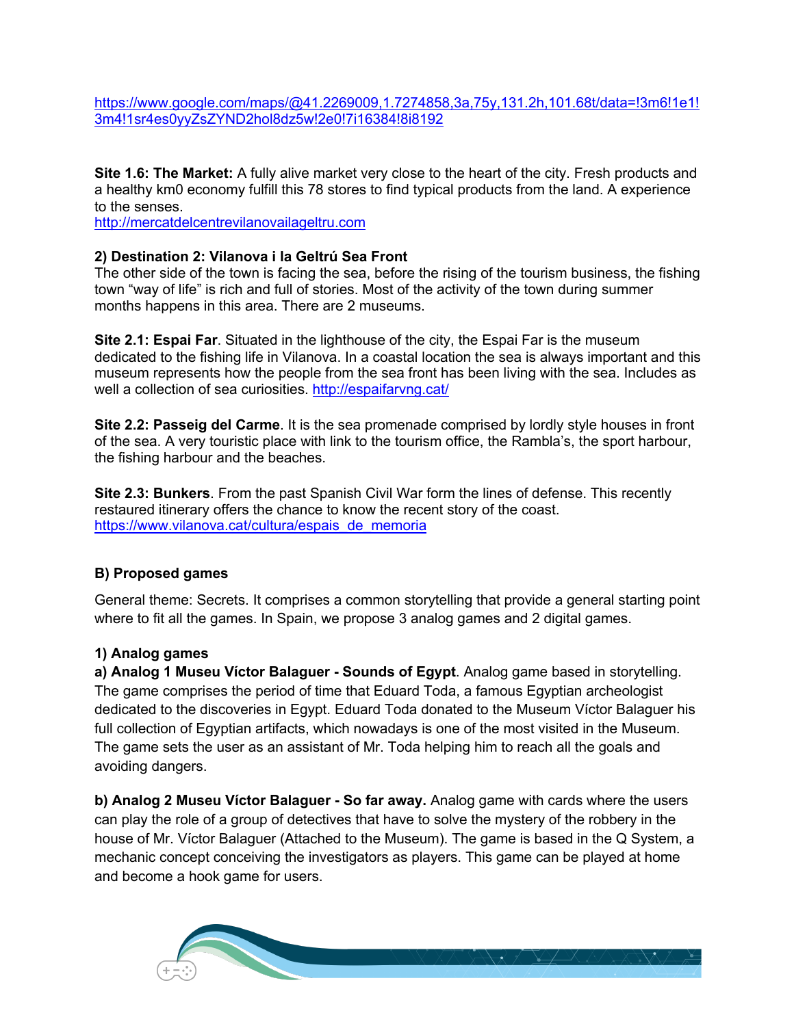https://www.google.com/maps/@41.2269009,1.7274858,3a,75y,131.2h,101.68t/data=!3m6!1e1! 3m4!1sr4es0yyZsZYND2hol8dz5w!2e0!7i16384!8i8192

**Site 1.6: The Market:** A fully alive market very close to the heart of the city. Fresh products and a healthy km0 economy fulfill this 78 stores to find typical products from the land. A experience to the senses.

http://mercatdelcentrevilanovailageltru.com

#### **2) Destination 2: Vilanova i la Geltrú Sea Front**

The other side of the town is facing the sea, before the rising of the tourism business, the fishing town "way of life" is rich and full of stories. Most of the activity of the town during summer months happens in this area. There are 2 museums.

**Site 2.1: Espai Far**. Situated in the lighthouse of the city, the Espai Far is the museum dedicated to the fishing life in Vilanova. In a coastal location the sea is always important and this museum represents how the people from the sea front has been living with the sea. Includes as well a collection of sea curiosities. http://espaifarvng.cat/

**Site 2.2: Passeig del Carme**. It is the sea promenade comprised by lordly style houses in front of the sea. A very touristic place with link to the tourism office, the Rambla's, the sport harbour, the fishing harbour and the beaches.

**Site 2.3: Bunkers**. From the past Spanish Civil War form the lines of defense. This recently restaured itinerary offers the chance to know the recent story of the coast. https://www.vilanova.cat/cultura/espais\_de\_memoria

#### **B) Proposed games**

General theme: Secrets. It comprises a common storytelling that provide a general starting point where to fit all the games. In Spain, we propose 3 analog games and 2 digital games.

#### **1) Analog games**

**a) Analog 1 Museu Víctor Balaguer - Sounds of Egypt**. Analog game based in storytelling. The game comprises the period of time that Eduard Toda, a famous Egyptian archeologist dedicated to the discoveries in Egypt. Eduard Toda donated to the Museum Víctor Balaguer his full collection of Egyptian artifacts, which nowadays is one of the most visited in the Museum. The game sets the user as an assistant of Mr. Toda helping him to reach all the goals and avoiding dangers.

**b) Analog 2 Museu Víctor Balaguer - So far away.** Analog game with cards where the users can play the role of a group of detectives that have to solve the mystery of the robbery in the house of Mr. Víctor Balaguer (Attached to the Museum). The game is based in the Q System, a mechanic concept conceiving the investigators as players. This game can be played at home and become a hook game for users.